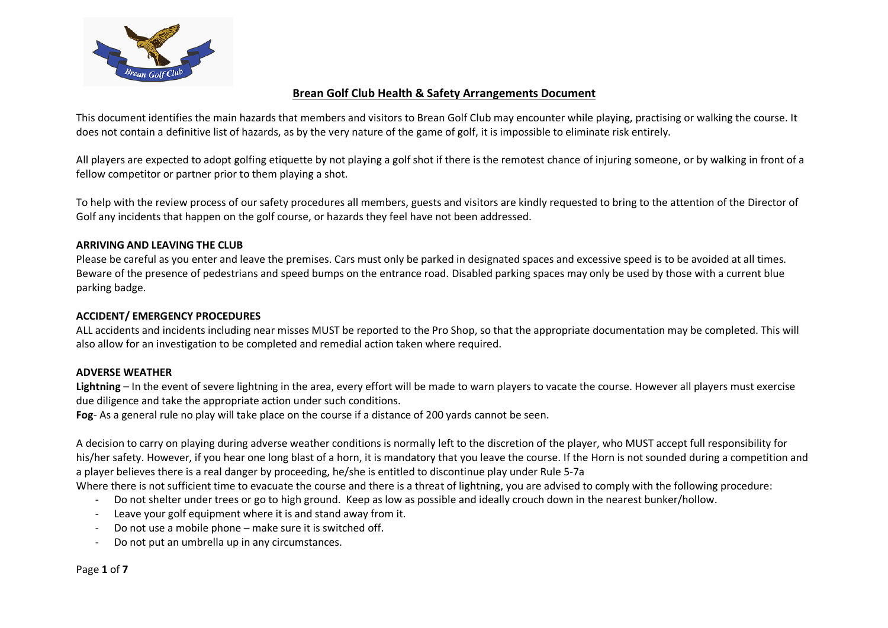

# **Brean Golf Club Health & Safety Arrangements Document**

This document identifies the main hazards that members and visitors to Brean Golf Club may encounter while playing, practising or walking the course. It does not contain a definitive list of hazards, as by the very nature of the game of golf, it is impossible to eliminate risk entirely.

All players are expected to adopt golfing etiquette by not playing a golf shot if there is the remotest chance of injuring someone, or by walking in front of a fellow competitor or partner prior to them playing a shot.

To help with the review process of our safety procedures all members, guests and visitors are kindly requested to bring to the attention of the Director of Golf any incidents that happen on the golf course, or hazards they feel have not been addressed.

## **ARRIVING AND LEAVING THE CLUB**

Please be careful as you enter and leave the premises. Cars must only be parked in designated spaces and excessive speed is to be avoided at all times. Beware of the presence of pedestrians and speed bumps on the entrance road. Disabled parking spaces may only be used by those with a current blue parking badge.

## **ACCIDENT/ EMERGENCY PROCEDURES**

ALL accidents and incidents including near misses MUST be reported to the Pro Shop, so that the appropriate documentation may be completed. This will also allow for an investigation to be completed and remedial action taken where required.

## **ADVERSE WEATHER**

**Lightning** – In the event of severe lightning in the area, every effort will be made to warn players to vacate the course. However all players must exercise due diligence and take the appropriate action under such conditions.

**Fog**- As a general rule no play will take place on the course if a distance of 200 yards cannot be seen.

A decision to carry on playing during adverse weather conditions is normally left to the discretion of the player, who MUST accept full responsibility for his/her safety. However, if you hear one long blast of a horn, it is mandatory that you leave the course. If the Horn is not sounded during a competition and a player believes there is a real danger by proceeding, he/she is entitled to discontinue play under Rule 5-7a

Where there is not sufficient time to evacuate the course and there is a threat of lightning, you are advised to comply with the following procedure:

- Do not shelter under trees or go to high ground. Keep as low as possible and ideally crouch down in the nearest bunker/hollow.
- Leave your golf equipment where it is and stand away from it.
- Do not use a mobile phone make sure it is switched off.
- Do not put an umbrella up in any circumstances.

Page **1** of **7**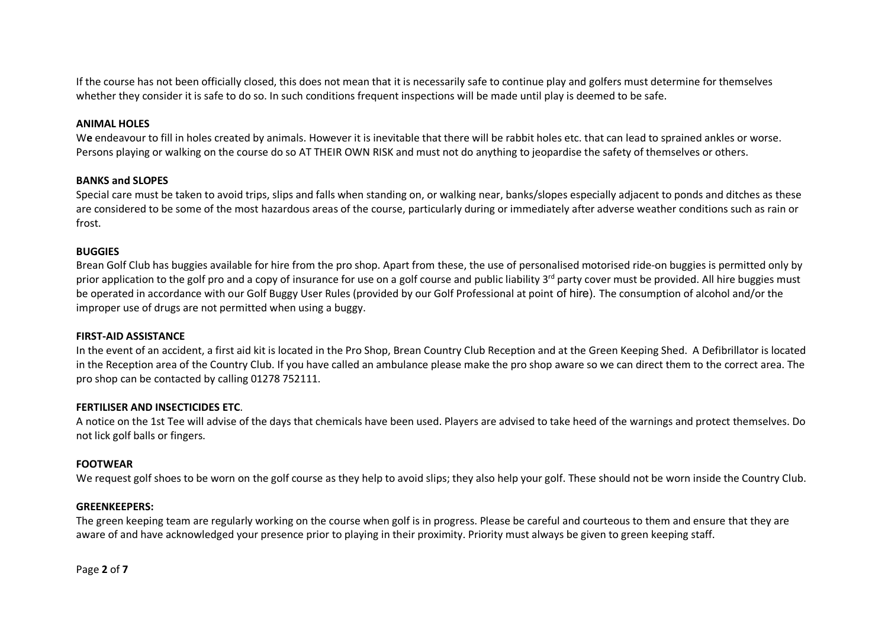If the course has not been officially closed, this does not mean that it is necessarily safe to continue play and golfers must determine for themselves whether they consider it is safe to do so. In such conditions frequent inspections will be made until play is deemed to be safe.

### **ANIMAL HOLES**

We endeavour to fill in holes created by animals. However it is inevitable that there will be rabbit holes etc. that can lead to sprained ankles or worse. Persons playing or walking on the course do so AT THEIR OWN RISK and must not do anything to jeopardise the safety of themselves or others.

## **BANKS and SLOPES**

Special care must be taken to avoid trips, slips and falls when standing on, or walking near, banks/slopes especially adjacent to ponds and ditches as these are considered to be some of the most hazardous areas of the course, particularly during or immediately after adverse weather conditions such as rain or frost.

## **BUGGIES**

Brean Golf Club has buggies available for hire from the pro shop. Apart from these, the use of personalised motorised ride-on buggies is permitted only by prior application to the golf pro and a copy of insurance for use on a golf course and public liability 3<sup>rd</sup> party cover must be provided. All hire buggies must be operated in accordance with our Golf Buggy User Rules (provided by our Golf Professional at point of hire). The consumption of alcohol and/or the improper use of drugs are not permitted when using a buggy.

#### **FIRST-AID ASSISTANCE**

In the event of an accident, a first aid kit is located in the Pro Shop, Brean Country Club Reception and at the Green Keeping Shed. A Defibrillator is located in the Reception area of the Country Club. If you have called an ambulance please make the pro shop aware so we can direct them to the correct area. The pro shop can be contacted by calling 01278 752111.

#### **FERTILISER AND INSECTICIDES ETC**.

A notice on the 1st Tee will advise of the days that chemicals have been used. Players are advised to take heed of the warnings and protect themselves. Do not lick golf balls or fingers.

#### **FOOTWEAR**

We request golf shoes to be worn on the golf course as they help to avoid slips; they also help your golf. These should not be worn inside the Country Club.

#### **GREENKEEPERS:**

The green keeping team are regularly working on the course when golf is in progress. Please be careful and courteous to them and ensure that they are aware of and have acknowledged your presence prior to playing in their proximity. Priority must always be given to green keeping staff.

Page **2** of **7**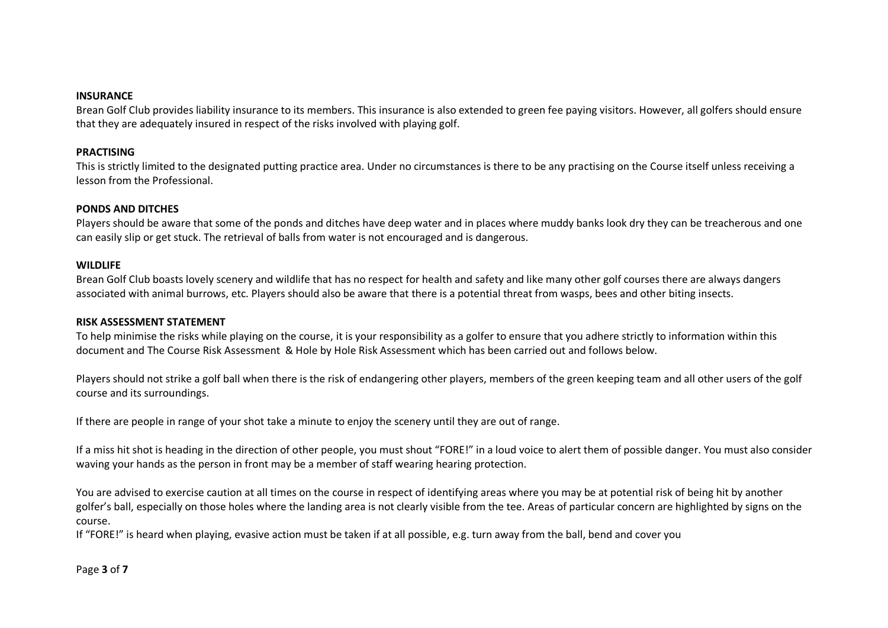#### **INSURANCE**

Brean Golf Club provides liability insurance to its members. This insurance is also extended to green fee paying visitors. However, all golfers should ensure that they are adequately insured in respect of the risks involved with playing golf.

### **PRACTISING**

This is strictly limited to the designated putting practice area. Under no circumstances is there to be any practising on the Course itself unless receiving a lesson from the Professional.

## **PONDS AND DITCHES**

Players should be aware that some of the ponds and ditches have deep water and in places where muddy banks look dry they can be treacherous and one can easily slip or get stuck. The retrieval of balls from water is not encouraged and is dangerous.

#### **WILDLIFE**

Brean Golf Club boasts lovely scenery and wildlife that has no respect for health and safety and like many other golf courses there are always dangers associated with animal burrows, etc. Players should also be aware that there is a potential threat from wasps, bees and other biting insects.

#### **RISK ASSESSMENT STATEMENT**

To help minimise the risks while playing on the course, it is your responsibility as a golfer to ensure that you adhere strictly to information within this document and The Course Risk Assessment & Hole by Hole Risk Assessment which has been carried out and follows below.

Players should not strike a golf ball when there is the risk of endangering other players, members of the green keeping team and all other users of the golf course and its surroundings.

If there are people in range of your shot take a minute to enjoy the scenery until they are out of range.

If a miss hit shot is heading in the direction of other people, you must shout "FORE!" in a loud voice to alert them of possible danger. You must also consider waving your hands as the person in front may be a member of staff wearing hearing protection.

You are advised to exercise caution at all times on the course in respect of identifying areas where you may be at potential risk of being hit by another golfer's ball, especially on those holes where the landing area is not clearly visible from the tee. Areas of particular concern are highlighted by signs on the course.

If "FORE!" is heard when playing, evasive action must be taken if at all possible, e.g. turn away from the ball, bend and cover you

Page **3** of **7**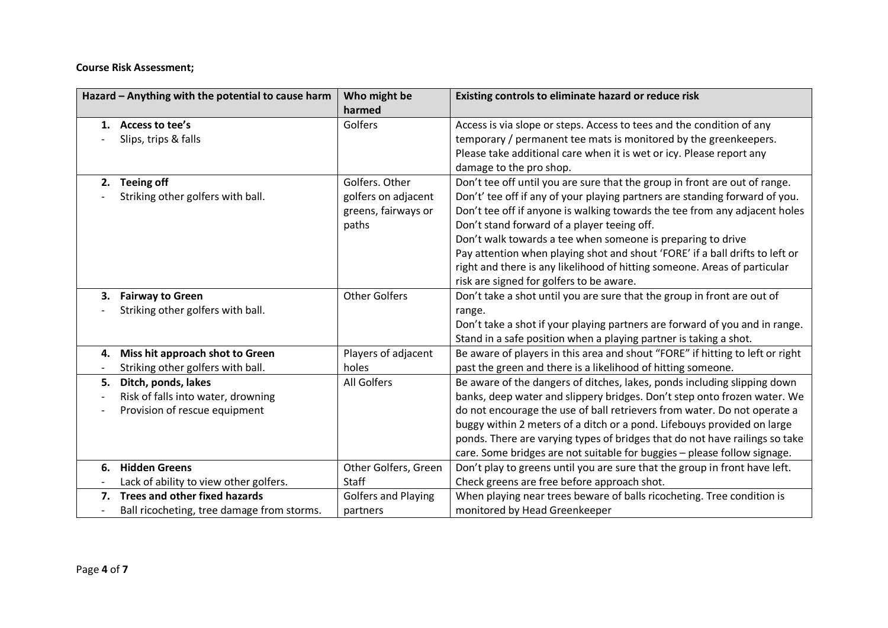**Course Risk Assessment;**

| Hazard - Anything with the potential to cause harm | Who might be               | Existing controls to eliminate hazard or reduce risk                          |
|----------------------------------------------------|----------------------------|-------------------------------------------------------------------------------|
|                                                    | harmed                     |                                                                               |
| Access to tee's<br>1.                              | Golfers                    | Access is via slope or steps. Access to tees and the condition of any         |
| Slips, trips & falls                               |                            | temporary / permanent tee mats is monitored by the greenkeepers.              |
|                                                    |                            | Please take additional care when it is wet or icy. Please report any          |
|                                                    |                            | damage to the pro shop.                                                       |
| <b>Teeing off</b><br>2.                            | Golfers. Other             | Don't tee off until you are sure that the group in front are out of range.    |
| Striking other golfers with ball.                  | golfers on adjacent        | Don't' tee off if any of your playing partners are standing forward of you.   |
|                                                    | greens, fairways or        | Don't tee off if anyone is walking towards the tee from any adjacent holes    |
|                                                    | paths                      | Don't stand forward of a player teeing off.                                   |
|                                                    |                            | Don't walk towards a tee when someone is preparing to drive                   |
|                                                    |                            | Pay attention when playing shot and shout 'FORE' if a ball drifts to left or  |
|                                                    |                            | right and there is any likelihood of hitting someone. Areas of particular     |
|                                                    |                            | risk are signed for golfers to be aware.                                      |
| <b>Fairway to Green</b><br>3.                      | <b>Other Golfers</b>       | Don't take a shot until you are sure that the group in front are out of       |
| Striking other golfers with ball.                  |                            | range.                                                                        |
|                                                    |                            | Don't take a shot if your playing partners are forward of you and in range.   |
|                                                    |                            | Stand in a safe position when a playing partner is taking a shot.             |
| Miss hit approach shot to Green<br>4.              | Players of adjacent        | Be aware of players in this area and shout "FORE" if hitting to left or right |
| Striking other golfers with ball.                  | holes                      | past the green and there is a likelihood of hitting someone.                  |
| Ditch, ponds, lakes<br>5.                          | <b>All Golfers</b>         | Be aware of the dangers of ditches, lakes, ponds including slipping down      |
| Risk of falls into water, drowning                 |                            | banks, deep water and slippery bridges. Don't step onto frozen water. We      |
| Provision of rescue equipment                      |                            | do not encourage the use of ball retrievers from water. Do not operate a      |
|                                                    |                            | buggy within 2 meters of a ditch or a pond. Lifebouys provided on large       |
|                                                    |                            | ponds. There are varying types of bridges that do not have railings so take   |
|                                                    |                            | care. Some bridges are not suitable for buggies - please follow signage.      |
| <b>Hidden Greens</b><br>6.                         | Other Golfers, Green       | Don't play to greens until you are sure that the group in front have left.    |
| Lack of ability to view other golfers.             | <b>Staff</b>               | Check greens are free before approach shot.                                   |
| Trees and other fixed hazards<br>7.                | <b>Golfers and Playing</b> | When playing near trees beware of balls ricocheting. Tree condition is        |
| Ball ricocheting, tree damage from storms.         | partners                   | monitored by Head Greenkeeper                                                 |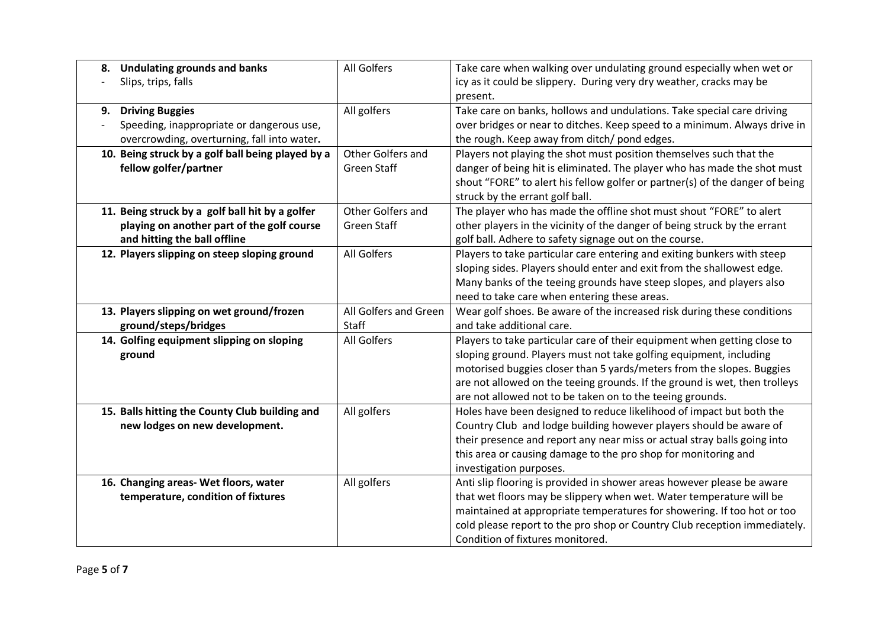| 8. | <b>Undulating grounds and banks</b>                                                                                           | All Golfers                             | Take care when walking over undulating ground especially when wet or                                                                                                                                                                                                                                                                                               |
|----|-------------------------------------------------------------------------------------------------------------------------------|-----------------------------------------|--------------------------------------------------------------------------------------------------------------------------------------------------------------------------------------------------------------------------------------------------------------------------------------------------------------------------------------------------------------------|
|    | Slips, trips, falls                                                                                                           |                                         | icy as it could be slippery. During very dry weather, cracks may be<br>present.                                                                                                                                                                                                                                                                                    |
| 9. | <b>Driving Buggies</b><br>Speeding, inappropriate or dangerous use,<br>overcrowding, overturning, fall into water.            | All golfers                             | Take care on banks, hollows and undulations. Take special care driving<br>over bridges or near to ditches. Keep speed to a minimum. Always drive in<br>the rough. Keep away from ditch/ pond edges.                                                                                                                                                                |
|    | 10. Being struck by a golf ball being played by a<br>fellow golfer/partner                                                    | Other Golfers and<br><b>Green Staff</b> | Players not playing the shot must position themselves such that the<br>danger of being hit is eliminated. The player who has made the shot must<br>shout "FORE" to alert his fellow golfer or partner(s) of the danger of being<br>struck by the errant golf ball.                                                                                                 |
|    | 11. Being struck by a golf ball hit by a golfer<br>playing on another part of the golf course<br>and hitting the ball offline | Other Golfers and<br><b>Green Staff</b> | The player who has made the offline shot must shout "FORE" to alert<br>other players in the vicinity of the danger of being struck by the errant<br>golf ball. Adhere to safety signage out on the course.                                                                                                                                                         |
|    | 12. Players slipping on steep sloping ground                                                                                  | All Golfers                             | Players to take particular care entering and exiting bunkers with steep<br>sloping sides. Players should enter and exit from the shallowest edge.<br>Many banks of the teeing grounds have steep slopes, and players also<br>need to take care when entering these areas.                                                                                          |
|    | 13. Players slipping on wet ground/frozen<br>ground/steps/bridges                                                             | All Golfers and Green<br><b>Staff</b>   | Wear golf shoes. Be aware of the increased risk during these conditions<br>and take additional care.                                                                                                                                                                                                                                                               |
|    | 14. Golfing equipment slipping on sloping<br>ground                                                                           | All Golfers                             | Players to take particular care of their equipment when getting close to<br>sloping ground. Players must not take golfing equipment, including<br>motorised buggies closer than 5 yards/meters from the slopes. Buggies<br>are not allowed on the teeing grounds. If the ground is wet, then trolleys<br>are not allowed not to be taken on to the teeing grounds. |
|    | 15. Balls hitting the County Club building and<br>new lodges on new development.                                              | All golfers                             | Holes have been designed to reduce likelihood of impact but both the<br>Country Club and lodge building however players should be aware of<br>their presence and report any near miss or actual stray balls going into<br>this area or causing damage to the pro shop for monitoring and<br>investigation purposes.                                                |
|    | 16. Changing areas- Wet floors, water<br>temperature, condition of fixtures                                                   | All golfers                             | Anti slip flooring is provided in shower areas however please be aware<br>that wet floors may be slippery when wet. Water temperature will be<br>maintained at appropriate temperatures for showering. If too hot or too<br>cold please report to the pro shop or Country Club reception immediately.<br>Condition of fixtures monitored.                          |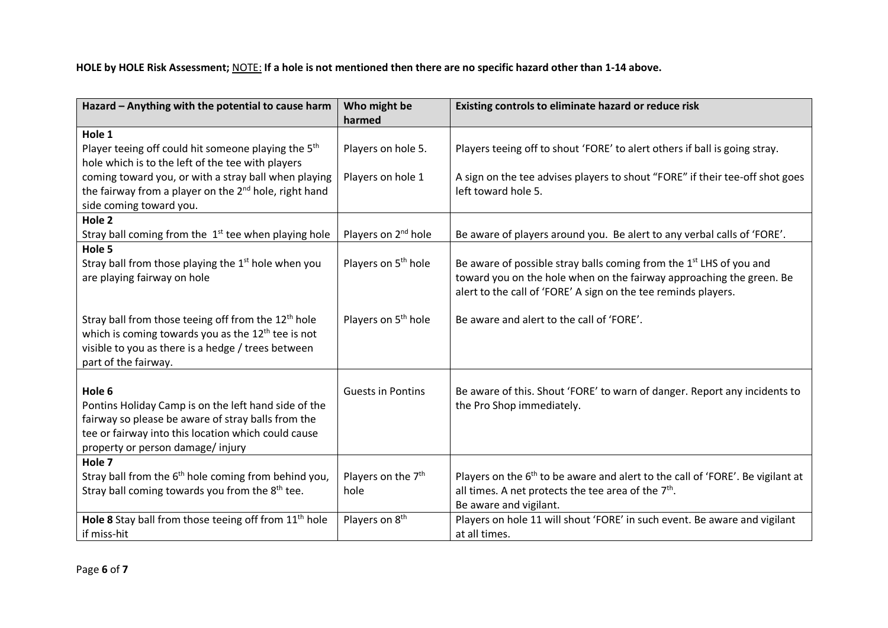**HOLE by HOLE Risk Assessment;** NOTE: **If a hole is not mentioned then there are no specific hazard other than 1-14 above.** 

| harmed<br>Hole 1<br>Player teeing off could hit someone playing the 5 <sup>th</sup><br>Players on hole 5.<br>Players teeing off to shout 'FORE' to alert others if ball is going stray.          |
|--------------------------------------------------------------------------------------------------------------------------------------------------------------------------------------------------|
|                                                                                                                                                                                                  |
|                                                                                                                                                                                                  |
|                                                                                                                                                                                                  |
| hole which is to the left of the tee with players                                                                                                                                                |
| coming toward you, or with a stray ball when playing<br>Players on hole 1<br>A sign on the tee advises players to shout "FORE" if their tee-off shot goes                                        |
| the fairway from a player on the 2 <sup>nd</sup> hole, right hand<br>left toward hole 5.                                                                                                         |
| side coming toward you.                                                                                                                                                                          |
| Hole <sub>2</sub>                                                                                                                                                                                |
| Players on 2 <sup>nd</sup> hole<br>Stray ball coming from the $1st$ tee when playing hole<br>Be aware of players around you. Be alert to any verbal calls of 'FORE'.                             |
| Hole 5                                                                                                                                                                                           |
| Stray ball from those playing the 1 <sup>st</sup> hole when you<br>Players on 5 <sup>th</sup> hole<br>Be aware of possible stray balls coming from the 1 <sup>st</sup> LHS of you and            |
| toward you on the hole when on the fairway approaching the green. Be<br>are playing fairway on hole                                                                                              |
| alert to the call of 'FORE' A sign on the tee reminds players.                                                                                                                                   |
|                                                                                                                                                                                                  |
| Stray ball from those teeing off from the 12 <sup>th</sup> hole<br>Players on 5 <sup>th</sup> hole<br>Be aware and alert to the call of 'FORE'.                                                  |
| which is coming towards you as the $12^{th}$ tee is not                                                                                                                                          |
| visible to you as there is a hedge / trees between                                                                                                                                               |
| part of the fairway.                                                                                                                                                                             |
|                                                                                                                                                                                                  |
| Hole 6<br><b>Guests in Pontins</b><br>Be aware of this. Shout 'FORE' to warn of danger. Report any incidents to                                                                                  |
| the Pro Shop immediately.<br>Pontins Holiday Camp is on the left hand side of the                                                                                                                |
| fairway so please be aware of stray balls from the                                                                                                                                               |
| tee or fairway into this location which could cause                                                                                                                                              |
| property or person damage/injury                                                                                                                                                                 |
| Hole 7                                                                                                                                                                                           |
| Stray ball from the 6 <sup>th</sup> hole coming from behind you,<br>Players on the 7 <sup>th</sup><br>Players on the 6 <sup>th</sup> to be aware and alert to the call of 'FORE'. Be vigilant at |
| Stray ball coming towards you from the 8 <sup>th</sup> tee.<br>all times. A net protects the tee area of the $7th$ .<br>hole                                                                     |
| Be aware and vigilant.                                                                                                                                                                           |
| Hole 8 Stay ball from those teeing off from 11 <sup>th</sup> hole<br>Players on 8 <sup>th</sup><br>Players on hole 11 will shout 'FORE' in such event. Be aware and vigilant                     |
| if miss-hit<br>at all times.                                                                                                                                                                     |